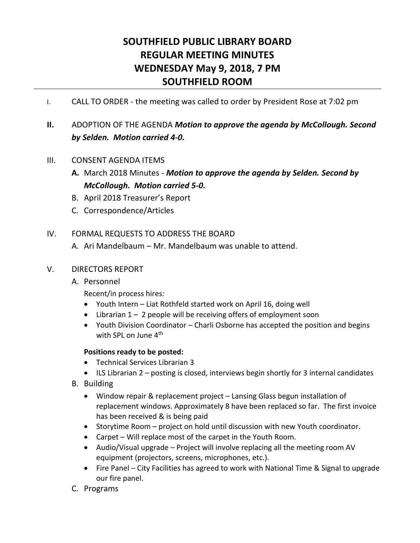# **SOUTHFIELD PUBLIC LIBRARY BOARD REGULAR MEETING MINUTES WEDNESDAY May 9, 2018, 7 PM SOUTHFIELD ROOM**

- I. CALL TO ORDER the meeting was called to order by President Rose at 7:02 pm
- **II.** ADOPTION OF THE AGENDA *Motion to approve the agenda by McCollough. Second by Selden. Motion carried 4-0.*

## III. CONSENT AGENDA ITEMS

- **A.** March 2018 Minutes *Motion to approve the agenda by Selden. Second by McCollough. Motion carried 5-0.*
- B. April 2018 Treasurer's Report
- C. Correspondence/Articles

## IV. FORMAL REQUESTS TO ADDRESS THE BOARD

A. Ari Mandelbaum – Mr. Mandelbaum was unable to attend.

#### V. DIRECTORS REPORT

A. Personnel

Recent/in process hires*:*

- Youth Intern Liat Rothfeld started work on April 16, doing well
- $\bullet$  Librarian 1 2 people will be receiving offers of employment soon
- Youth Division Coordinator Charli Osborne has accepted the position and begins with SPL on June 4<sup>th</sup>

#### **Positions ready to be posted:**

- Technical Services Librarian 3
- ILS Librarian 2 posting is closed, interviews begin shortly for 3 internal candidates
- B. Building
	- Window repair & replacement project Lansing Glass begun installation of replacement windows. Approximately 8 have been replaced so far. The first invoice has been received & is being paid
	- Storytime Room project on hold until discussion with new Youth coordinator.
	- Carpet Will replace most of the carpet in the Youth Room.
	- Audio/Visual upgrade Project will involve replacing all the meeting room AV equipment (projectors, screens, microphones, etc.).
	- Fire Panel City Facilities has agreed to work with National Time & Signal to upgrade our fire panel.
- C. Programs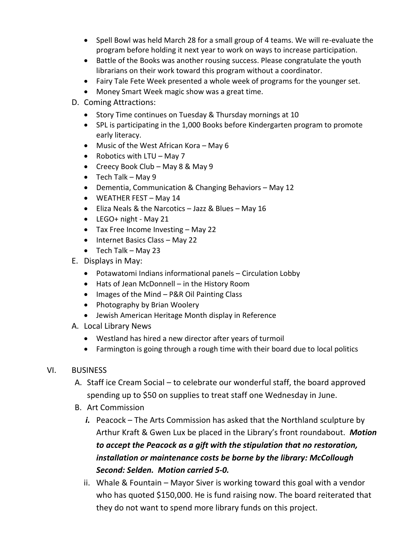- Spell Bowl was held March 28 for a small group of 4 teams. We will re-evaluate the program before holding it next year to work on ways to increase participation.
- Battle of the Books was another rousing success. Please congratulate the youth librarians on their work toward this program without a coordinator.
- Fairy Tale Fete Week presented a whole week of programs for the younger set.
- Money Smart Week magic show was a great time.
- D. Coming Attractions:
	- Story Time continues on Tuesday & Thursday mornings at 10
	- SPL is participating in the 1,000 Books before Kindergarten program to promote early literacy.
	- Music of the West African Kora May 6
	- Robotics with  $LTU May 7$
	- Creecy Book Club May 8 & May 9
	- $\bullet$  Tech Talk May 9
	- Dementia, Communication & Changing Behaviors May 12
	- WEATHER FEST May 14
	- Eliza Neals & the Narcotics Jazz & Blues May 16
	- LEGO+ night May 21
	- Tax Free Income Investing May 22
	- Internet Basics Class May 22
	- $\bullet$  Tech Talk May 23
- E. Displays in May:
	- Potawatomi Indians informational panels Circulation Lobby
	- Hats of Jean McDonnell in the History Room
	- Images of the Mind P&R Oil Painting Class
	- Photography by Brian Woolery
	- Jewish American Heritage Month display in Reference
- A. Local Library News
	- Westland has hired a new director after years of turmoil
	- Farmington is going through a rough time with their board due to local politics
- VI. BUSINESS
	- A. Staff ice Cream Social to celebrate our wonderful staff, the board approved spending up to \$50 on supplies to treat staff one Wednesday in June.
	- B. Art Commission
		- *i.* Peacock The Arts Commission has asked that the Northland sculpture by Arthur Kraft & Gwen Lux be placed in the Library's front roundabout. *Motion to accept the Peacock as a gift with the stipulation that no restoration, installation or maintenance costs be borne by the library: McCollough Second: Selden. Motion carried 5-0.*
		- ii. Whale & Fountain Mayor Siver is working toward this goal with a vendor who has quoted \$150,000. He is fund raising now. The board reiterated that they do not want to spend more library funds on this project.